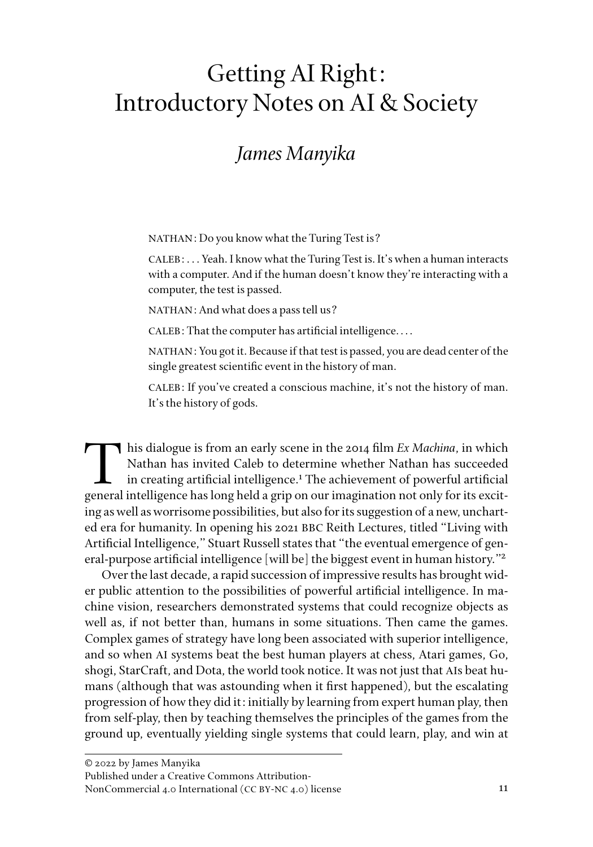# Getting AI Right: Introductory Notes on AI & Society

## *James Manyika*

NATHAN: Do you know what the Turing Test is?

CALEB: . . . Yeah. I know what the Turing Test is. It's when a human interacts with a computer. And if the human doesn't know they're interacting with a computer, the test is passed.

NATHAN: And what does a pass tell us?

CALEB: That the computer has artificial intelligence. . . .

NATHAN: You got it. Because if that test is passed, you are dead center of the single greatest scientific event in the history of man.

CALEB: If you've created a conscious machine, it's not the history of man. It's the history of gods.

This dialogue is from an early scene in the 2014 film *Ex Machina*, in which Nathan has invited Caleb to determine whether Nathan has succeeded in creating artificial intelligence.<sup>1</sup> The achievement of powerful artificial general intelligence has long held a grip on our imagination not only for its exciting as well as worrisome possibilities, but also for its suggestion of a new, uncharted era for humanity. In opening his 2021 BBC Reith Lectures, titled "Living with Artificial Intelligence," Stuart Russell states that "the eventual emergence of general-purpose artificial intelligence [will be] the biggest event in human history."2

Over the last decade, a rapid succession of impressive results has brought wider public attention to the possibilities of powerful artificial intelligence. In machine vision, researchers demonstrated systems that could recognize objects as well as, if not better than, humans in some situations. Then came the games. Complex games of strategy have long been associated with superior intelligence, and so when AI systems beat the best human players at chess, Atari games, Go, shogi, StarCraft, and Dota, the world took notice. It was not just that AIs beat humans (although that was astounding when it first happened), but the escalating progression of how they did it: initially by learning from expert human play, then from self-play, then by teaching themselves the principles of the games from the ground up, eventually yielding single systems that could learn, play, and win at

Published under a Creative Commons Attribution-

NonCommercial 4.0 International (CC BY-NC 4.0) license

<sup>© 2022</sup> by James Manyika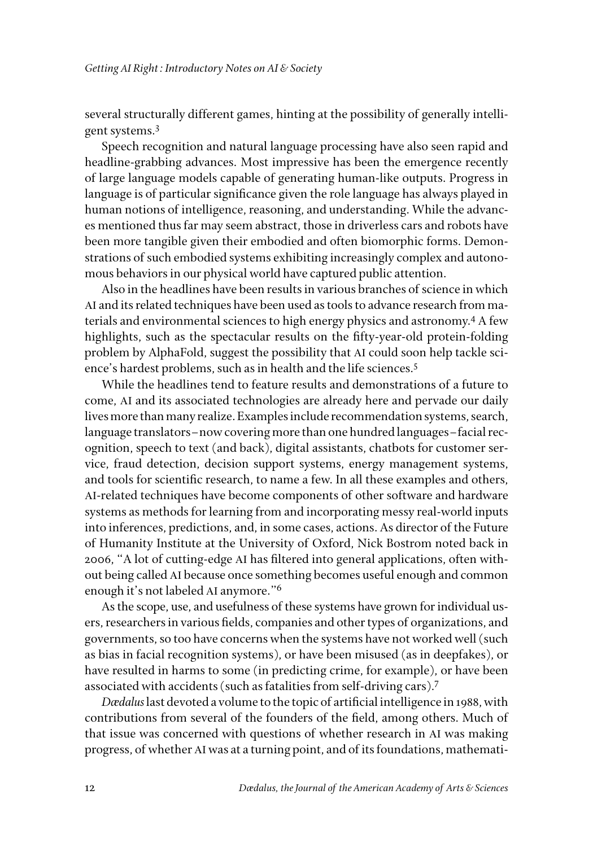several structurally different games, hinting at the possibility of generally intelligent systems.3

Speech recognition and natural language processing have also seen rapid and headline-grabbing advances. Most impressive has been the emergence recently of large language models capable of generating human-like outputs. Progress in language is of particular significance given the role language has always played in human notions of intelligence, reasoning, and understanding. While the advances mentioned thus far may seem abstract, those in driverless cars and robots have been more tangible given their embodied and often biomorphic forms. Demonstrations of such embodied systems exhibiting increasingly complex and autonomous behaviors in our physical world have captured public attention.

Also in the headlines have been results in various branches of science in which AI and its related techniques have been used as tools to advance research from materials and environmental sciences to high energy physics and astronomy.4 A few highlights, such as the spectacular results on the fifty-year-old protein-folding problem by AlphaFold, suggest the possibility that AI could soon help tackle science's hardest problems, such as in health and the life sciences.<sup>5</sup>

While the headlines tend to feature results and demonstrations of a future to come, AI and its associated technologies are already here and pervade our daily lives more than many realize. Examples include recommendation systems, search, language translators–now covering more than one hundred languages–facial recognition, speech to text (and back), digital assistants, chatbots for customer service, fraud detection, decision support systems, energy management systems, and tools for scientific research, to name a few. In all these examples and others, AI-related techniques have become components of other software and hardware systems as methods for learning from and incorporating messy real-world inputs into inferences, predictions, and, in some cases, actions. As director of the Future of Humanity Institute at the University of Oxford, Nick Bostrom noted back in 2006, "A lot of cutting-edge AI has filtered into general applications, often without being called AI because once something becomes useful enough and common enough it's not labeled AI anymore."6

As the scope, use, and usefulness of these systems have grown for individual users, researchers in various fields, companies and other types of organizations, and governments, so too have concerns when the systems have not worked well (such as bias in facial recognition systems), or have been misused (as in deepfakes), or have resulted in harms to some (in predicting crime, for example), or have been associated with accidents (such as fatalities from self-driving cars).7

*Dædalus* last devoted a volume to the topic of artificial intelligence in 1988, with contributions from several of the founders of the field, among others. Much of that issue was concerned with questions of whether research in AI was making progress, of whether AI was at a turning point, and of its foundations, mathemati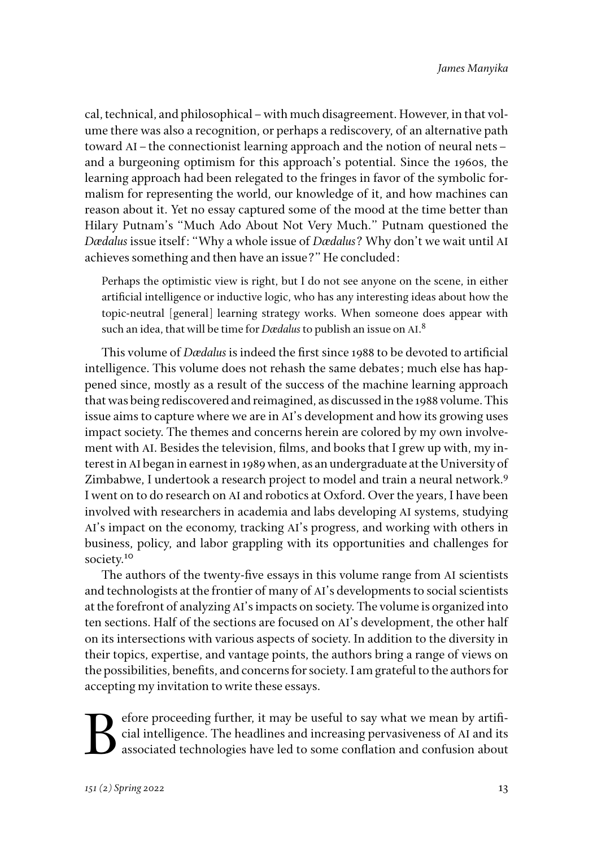cal, technical, and philosophical–with much disagreement. However, in that volume there was also a recognition, or perhaps a rediscovery, of an alternative path toward AI–the connectionist learning approach and the notion of neural nets– and a burgeoning optimism for this approach's potential. Since the 1960s, the learning approach had been relegated to the fringes in favor of the symbolic formalism for representing the world, our knowledge of it, and how machines can reason about it. Yet no essay captured some of the mood at the time better than Hilary Putnam's "Much Ado About Not Very Much." Putnam questioned the *Dædalus* issue itself: "Why a whole issue of *Dædalus*? Why don't we wait until AI achieves something and then have an issue?" He concluded:

Perhaps the optimistic view is right, but I do not see anyone on the scene, in either artificial intelligence or inductive logic, who has any interesting ideas about how the topic-neutral [general] learning strategy works. When someone does appear with such an idea, that will be time for *Dædalus* to publish an issue on AI. 8

This volume of *Dædalus* is indeed the first since 1988 to be devoted to artificial intelligence. This volume does not rehash the same debates; much else has happened since, mostly as a result of the success of the machine learning approach that was being rediscovered and reimagined, as discussed in the 1988 volume. This issue aims to capture where we are in AI's development and how its growing uses impact society. The themes and concerns herein are colored by my own involvement with AI. Besides the television, films, and books that I grew up with, my interest in AI began in earnest in 1989 when, as an undergraduate at the University of Zimbabwe, I undertook a research project to model and train a neural network.<sup>9</sup> I went on to do research on AI and robotics at Oxford. Over the years, I have been involved with researchers in academia and labs developing AI systems, studying AI's impact on the economy, tracking AI's progress, and working with others in business, policy, and labor grappling with its opportunities and challenges for society.<sup>10</sup>

The authors of the twenty-five essays in this volume range from AI scientists and technologists at the frontier of many of AI's developments to social scientists at the forefront of analyzing AI's impacts on society. The volume is organized into ten sections. Half of the sections are focused on AI's development, the other half on its intersections with various aspects of society. In addition to the diversity in their topics, expertise, and vantage points, the authors bring a range of views on the possibilities, benefits, and concerns for society. I am grateful to the authors for accepting my invitation to write these essays.

Experience proceeding further, it may be useful to say what we mean by artificial intelligence. The headlines and increasing pervasiveness of AI and its associated technologies have led to some conflation and confusion abo cial intelligence. The headlines and increasing pervasiveness of AI and its associated technologies have led to some conflation and confusion about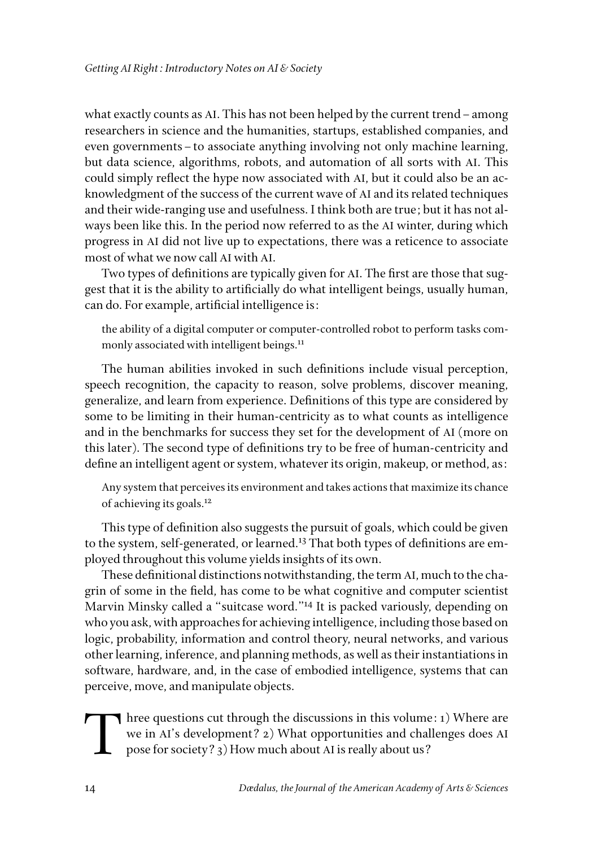what exactly counts as AI. This has not been helped by the current trend–among researchers in science and the humanities, startups, established companies, and even governments–to associate anything involving not only machine learning, but data science, algorithms, robots, and automation of all sorts with AI. This could simply reflect the hype now associated with AI, but it could also be an acknowledgment of the success of the current wave of AI and its related techniques and their wide-ranging use and usefulness. I think both are true; but it has not always been like this. In the period now referred to as the AI winter, during which progress in AI did not live up to expectations, there was a reticence to associate most of what we now call AI with AI.

Two types of definitions are typically given for AI. The first are those that suggest that it is the ability to artificially do what intelligent beings, usually human, can do. For example, artificial intelligence is:

the ability of a digital computer or computer-controlled robot to perform tasks commonly associated with intelligent beings.<sup>11</sup>

The human abilities invoked in such definitions include visual perception, speech recognition, the capacity to reason, solve problems, discover meaning, generalize, and learn from experience. Definitions of this type are considered by some to be limiting in their human-centricity as to what counts as intelligence and in the benchmarks for success they set for the development of AI (more on this later). The second type of definitions try to be free of human-centricity and define an intelligent agent or system, whatever its origin, makeup, or method, as:

Any system that perceives its environment and takes actions that maximize its chance of achieving its goals.12

This type of definition also suggests the pursuit of goals, which could be given to the system, self-generated, or learned.<sup>13</sup> That both types of definitions are employed throughout this volume yields insights of its own.

These definitional distinctions notwithstanding, the term AI, much to the chagrin of some in the field, has come to be what cognitive and computer scientist Marvin Minsky called a "suitcase word."14 It is packed variously, depending on who you ask, with approaches for achieving intelligence, including those based on logic, probability, information and control theory, neural networks, and various other learning, inference, and planning methods, as well as their instantiations in software, hardware, and, in the case of embodied intelligence, systems that can perceive, move, and manipulate objects.

Three questions cut through the discussions in this volume: 1) Where are we in AI's development? 2) What opportunities and challenges does AI pose for society? 3) How much about AI is really about us?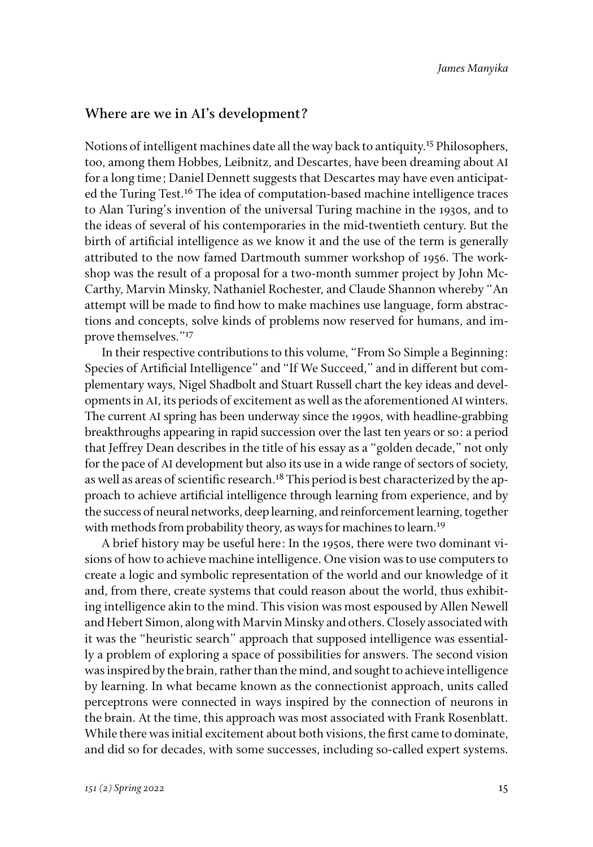#### **Where are we in AI's development?**

Notions of intelligent machines date all the way back to antiquity.15 Philosophers, too, among them Hobbes, Leibnitz, and Descartes, have been dreaming about AI for a long time; Daniel Dennett suggests that Descartes may have even anticipated the Turing Test.<sup>16</sup> The idea of computation-based machine intelligence traces to Alan Turing's invention of the universal Turing machine in the 1930s, and to the ideas of several of his contemporaries in the mid-twentieth century. But the birth of artificial intelligence as we know it and the use of the term is generally attributed to the now famed Dartmouth summer workshop of 1956. The workshop was the result of a proposal for a two-month summer project by John Mc-Carthy, Marvin Minsky, Nathaniel Rochester, and Claude Shannon whereby "An attempt will be made to find how to make machines use language, form abstractions and concepts, solve kinds of problems now reserved for humans, and improve themselves."<sup>17</sup>

In their respective contributions to this volume, "From So Simple a Beginning: Species of Artificial Intelligence" and "If We Succeed," and in different but complementary ways, Nigel Shadbolt and Stuart Russell chart the key ideas and developments in AI, its periods of excitement as well as the aforementioned AI winters. The current AI spring has been underway since the 1990s, with headline-grabbing breakthroughs appearing in rapid succession over the last ten years or so: a period that Jeffrey Dean describes in the title of his essay as a "golden decade," not only for the pace of AI development but also its use in a wide range of sectors of society, as well as areas of scientific research.<sup>18</sup> This period is best characterized by the approach to achieve artificial intelligence through learning from experience, and by the success of neural networks, deep learning, and reinforcement learning, together with methods from probability theory, as ways for machines to learn.<sup>19</sup>

A brief history may be useful here: In the 1950s, there were two dominant visions of how to achieve machine intelligence. One vision was to use computers to create a logic and symbolic representation of the world and our knowledge of it and, from there, create systems that could reason about the world, thus exhibiting intelligence akin to the mind. This vision was most espoused by Allen Newell and Hebert Simon, along with Marvin Minsky and others. Closely associated with it was the "heuristic search" approach that supposed intelligence was essentially a problem of exploring a space of possibilities for answers. The second vision was inspired by the brain, rather than the mind, and sought to achieve intelligence by learning. In what became known as the connectionist approach, units called perceptrons were connected in ways inspired by the connection of neurons in the brain. At the time, this approach was most associated with Frank Rosenblatt. While there was initial excitement about both visions, the first came to dominate, and did so for decades, with some successes, including so-called expert systems.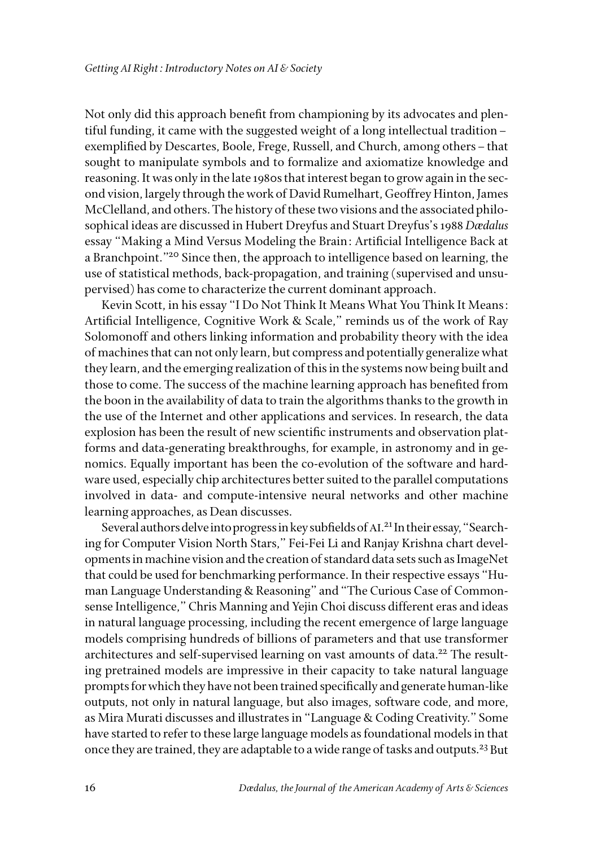Not only did this approach benefit from championing by its advocates and plentiful funding, it came with the suggested weight of a long intellectual tradition– exemplified by Descartes, Boole, Frege, Russell, and Church, among others–that sought to manipulate symbols and to formalize and axiomatize knowledge and reasoning. It was only in the late 1980s that interest began to grow again in the second vision, largely through the work of David Rumelhart, Geoffrey Hinton, James McClelland, and others. The history of these two visions and the associated philosophical ideas are discussed in Hubert Dreyfus and Stuart Dreyfus's 1988 *Dædalus* essay "Making a Mind Versus Modeling the Brain: Artificial Intelligence Back at a Branchpoint."<sup>20</sup> Since then, the approach to intelligence based on learning, the use of statistical methods, back-propagation, and training (supervised and unsupervised) has come to characterize the current dominant approach.

Kevin Scott, in his essay "I Do Not Think It Means What You Think It Means: Artificial Intelligence, Cognitive Work & Scale," reminds us of the work of Ray Solomonoff and others linking information and probability theory with the idea of machines that can not only learn, but compress and potentially generalize what they learn, and the emerging realization of this in the systems now being built and those to come. The success of the machine learning approach has benefited from the boon in the availability of data to train the algorithms thanks to the growth in the use of the Internet and other applications and services. In research, the data explosion has been the result of new scientific instruments and observation platforms and data-generating breakthroughs, for example, in astronomy and in genomics. Equally important has been the co-evolution of the software and hardware used, especially chip architectures better suited to the parallel computations involved in data- and compute-intensive neural networks and other machine learning approaches, as Dean discusses.

Several authors delve into progress in key subfields of AI. 21 In their essay, "Searching for Computer Vision North Stars," Fei-Fei Li and Ranjay Krishna chart developments in machine vision and the creation of standard data sets such as ImageNet that could be used for benchmarking performance. In their respective essays "Human Language Understanding & Reasoning" and "The Curious Case of Commonsense Intelligence," Chris Manning and Yejin Choi discuss different eras and ideas in natural language processing, including the recent emergence of large language models comprising hundreds of billions of parameters and that use transformer architectures and self-supervised learning on vast amounts of data.<sup>22</sup> The resulting pretrained models are impressive in their capacity to take natural language prompts for which they have not been trained specifically and generate human-like outputs, not only in natural language, but also images, software code, and more, as Mira Murati discusses and illustrates in "Language & Coding Creativity." Some have started to refer to these large language models as foundational models in that once they are trained, they are adaptable to a wide range of tasks and outputs.<sup>23</sup> But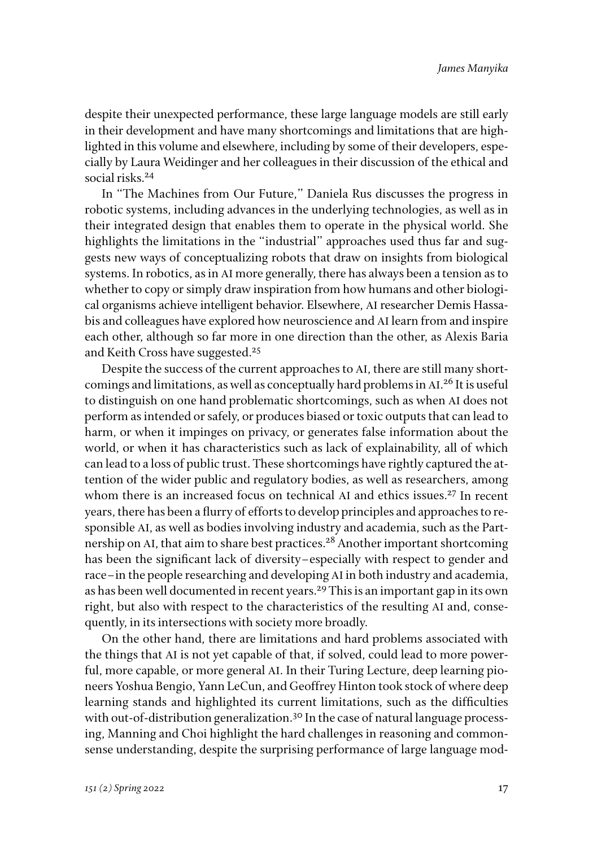despite their unexpected performance, these large language models are still early in their development and have many shortcomings and limitations that are highlighted in this volume and elsewhere, including by some of their developers, especially by Laura Weidinger and her colleagues in their discussion of the ethical and social risks.<sup>24</sup>

In "The Machines from Our Future," Daniela Rus discusses the progress in robotic systems, including advances in the underlying technologies, as well as in their integrated design that enables them to operate in the physical world. She highlights the limitations in the "industrial" approaches used thus far and suggests new ways of conceptualizing robots that draw on insights from biological systems. In robotics, as in AI more generally, there has always been a tension as to whether to copy or simply draw inspiration from how humans and other biological organisms achieve intelligent behavior. Elsewhere, AI researcher Demis Hassabis and colleagues have explored how neuroscience and AI learn from and inspire each other, although so far more in one direction than the other, as Alexis Baria and Keith Cross have suggested.<sup>25</sup>

Despite the success of the current approaches to AI, there are still many shortcomings and limitations, as well as conceptually hard problems in AI.<sup>26</sup> It is useful to distinguish on one hand problematic shortcomings, such as when AI does not perform as intended or safely, or produces biased or toxic outputs that can lead to harm, or when it impinges on privacy, or generates false information about the world, or when it has characteristics such as lack of explainability, all of which can lead to a loss of public trust. These shortcomings have rightly captured the attention of the wider public and regulatory bodies, as well as researchers, among whom there is an increased focus on technical AI and ethics issues.<sup>27</sup> In recent years, there has been a flurry of efforts to develop principles and approaches to responsible AI, as well as bodies involving industry and academia, such as the Partnership on AI, that aim to share best practices.<sup>28</sup> Another important shortcoming has been the significant lack of diversity–especially with respect to gender and race–in the people researching and developing AI in both industry and academia, as has been well documented in recent years.<sup>29</sup> This is an important gap in its own right, but also with respect to the characteristics of the resulting AI and, consequently, in its intersections with society more broadly.

On the other hand, there are limitations and hard problems associated with the things that AI is not yet capable of that, if solved, could lead to more powerful, more capable, or more general AI. In their Turing Lecture, deep learning pioneers Yoshua Bengio, Yann LeCun, and Geoffrey Hinton took stock of where deep learning stands and highlighted its current limitations, such as the difficulties with out-of-distribution generalization.<sup>30</sup> In the case of natural language processing, Manning and Choi highlight the hard challenges in reasoning and commonsense understanding, despite the surprising performance of large language mod-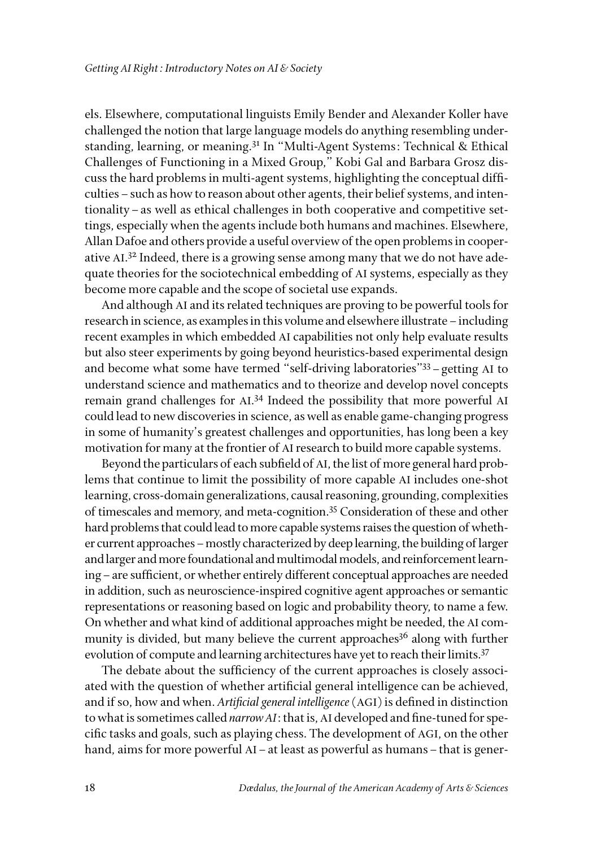els. Elsewhere, computational linguists Emily Bender and Alexander Koller have challenged the notion that large language models do anything resembling understanding, learning, or meaning.31 In "Multi-Agent Systems: Technical & Ethical Challenges of Functioning in a Mixed Group," Kobi Gal and Barbara Grosz discuss the hard problems in multi-agent systems, highlighting the conceptual difficulties–such as how to reason about other agents, their belief systems, and intentionality–as well as ethical challenges in both cooperative and competitive settings, especially when the agents include both humans and machines. Elsewhere, Allan Dafoe and others provide a useful overview of the open problems in cooperative AI. 32 Indeed, there is a growing sense among many that we do not have adequate theories for the sociotechnical embedding of AI systems, especially as they become more capable and the scope of societal use expands.

And although AI and its related techniques are proving to be powerful tools for research in science, as examples in this volume and elsewhere illustrate–including recent examples in which embedded AI capabilities not only help evaluate results but also steer experiments by going beyond heuristics-based experimental design and become what some have termed "self-driving laboratories"33–getting AI to understand science and mathematics and to theorize and develop novel concepts remain grand challenges for AI. 34 Indeed the possibility that more powerful AI could lead to new discoveries in science, as well as enable game-changing progress in some of humanity's greatest challenges and opportunities, has long been a key motivation for many at the frontier of AI research to build more capable systems.

Beyond the particulars of each subfield of AI, the list of more general hard problems that continue to limit the possibility of more capable AI includes one-shot learning, cross-domain generalizations, causal reasoning, grounding, complexities of timescales and memory, and meta-cognition.35 Consideration of these and other hard problems that could lead to more capable systems raises the question of whether current approaches–mostly characterized by deep learning, the building of larger and larger and more foundational and multimodal models, and reinforcement learning–are sufficient, or whether entirely different conceptual approaches are needed in addition, such as neuroscience-inspired cognitive agent approaches or semantic representations or reasoning based on logic and probability theory, to name a few. On whether and what kind of additional approaches might be needed, the AI community is divided, but many believe the current approaches<sup>36</sup> along with further evolution of compute and learning architectures have yet to reach their limits.<sup>37</sup>

The debate about the sufficiency of the current approaches is closely associated with the question of whether artificial general intelligence can be achieved, and if so, how and when. *Artificial general intelligence* (AGI) is defined in distinction to what is sometimes called *narrow AI*: that is, AI developed and fine-tuned for specific tasks and goals, such as playing chess. The development of AGI, on the other hand, aims for more powerful AI – at least as powerful as humans – that is gener-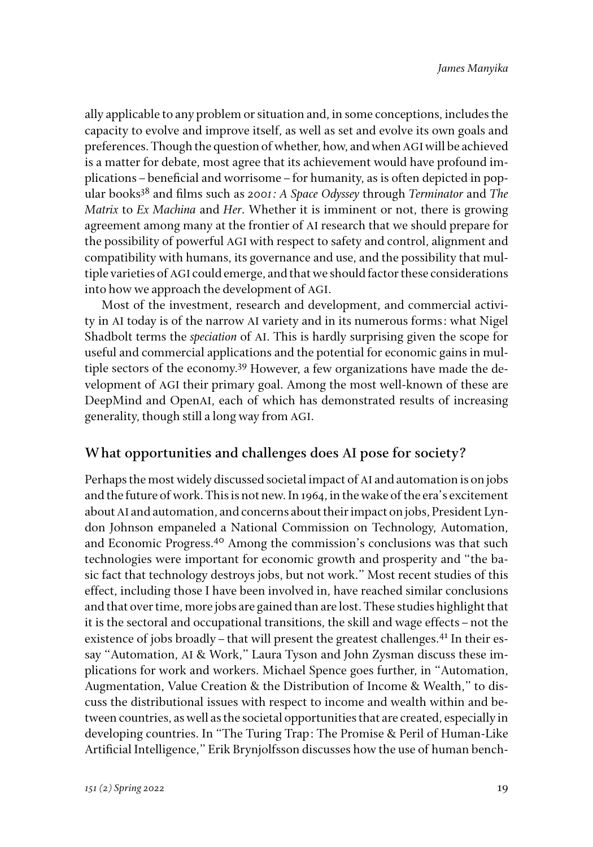ally applicable to any problem or situation and, in some conceptions, includes the capacity to evolve and improve itself, as well as set and evolve its own goals and preferences. Though the question of whether, how, and when AGI will be achieved is a matter for debate, most agree that its achievement would have profound implications–beneficial and worrisome–for humanity, as is often depicted in popular books38 and films such as *2001: A Space Odyssey* through *Terminator* and *The Matrix* to *Ex Machina* and *Her*. Whether it is imminent or not, there is growing agreement among many at the frontier of AI research that we should prepare for the possibility of powerful AGI with respect to safety and control, alignment and compatibility with humans, its governance and use, and the possibility that multiple varieties of AGI could emerge, and that we should factor these considerations into how we approach the development of AGI.

Most of the investment, research and development, and commercial activity in AI today is of the narrow AI variety and in its numerous forms: what Nigel Shadbolt terms the *speciation* of AI. This is hardly surprising given the scope for useful and commercial applications and the potential for economic gains in multiple sectors of the economy.<sup>39</sup> However, a few organizations have made the development of AGI their primary goal. Among the most well-known of these are DeepMind and OpenAI, each of which has demonstrated results of increasing generality, though still a long way from AGI.

### **What opportunities and challenges does AI pose for society?**

Perhaps the most widely discussed societal impact of AI and automation is on jobs and the future of work. This is not new. In 1964, in the wake of the era's excitement about AI and automation, and concerns about their impact on jobs, President Lyndon Johnson empaneled a National Commission on Technology, Automation, and Economic Progress.40 Among the commission's conclusions was that such technologies were important for economic growth and prosperity and "the basic fact that technology destroys jobs, but not work." Most recent studies of this effect, including those I have been involved in, have reached similar conclusions and that over time, more jobs are gained than are lost. These studies highlight that it is the sectoral and occupational transitions, the skill and wage effects–not the existence of jobs broadly – that will present the greatest challenges.<sup>41</sup> In their essay "Automation, AI & Work," Laura Tyson and John Zysman discuss these implications for work and workers. Michael Spence goes further, in "Automation, Augmentation, Value Creation & the Distribution of Income & Wealth," to discuss the distributional issues with respect to income and wealth within and between countries, as well as the societal opportunities that are created, especially in developing countries. In "The Turing Trap: The Promise & Peril of Human-Like Artificial Intelligence," Erik Brynjolfsson discusses how the use of human bench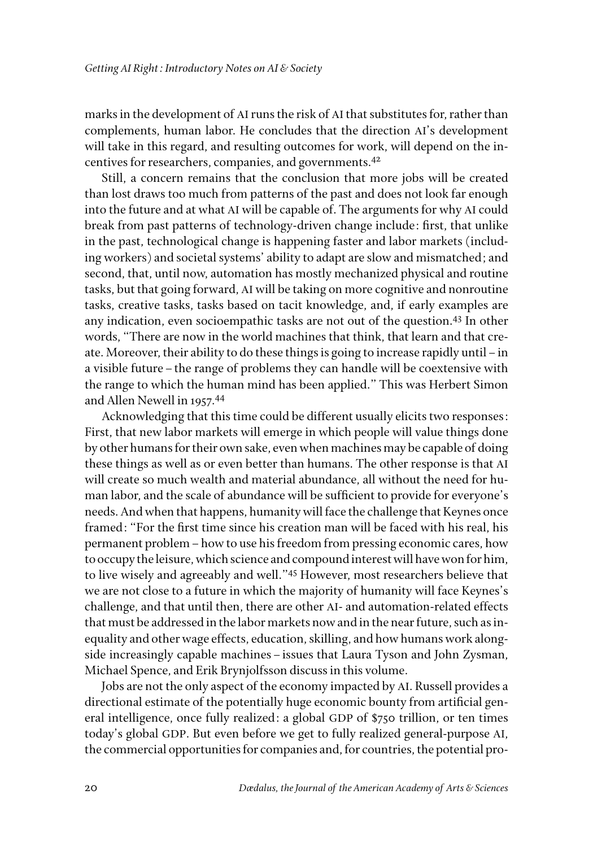marks in the development of AI runs the risk of AI that substitutes for, rather than complements, human labor. He concludes that the direction AI's development will take in this regard, and resulting outcomes for work, will depend on the incentives for researchers, companies, and governments.42

Still, a concern remains that the conclusion that more jobs will be created than lost draws too much from patterns of the past and does not look far enough into the future and at what AI will be capable of. The arguments for why AI could break from past patterns of technology-driven change include: first, that unlike in the past, technological change is happening faster and labor markets (including workers) and societal systems' ability to adapt are slow and mismatched; and second, that, until now, automation has mostly mechanized physical and routine tasks, but that going forward, AI will be taking on more cognitive and nonroutine tasks, creative tasks, tasks based on tacit knowledge, and, if early examples are any indication, even socioempathic tasks are not out of the question.43 In other words, "There are now in the world machines that think, that learn and that create. Moreover, their ability to do these things is going to increase rapidly until–in a visible future–the range of problems they can handle will be coextensive with the range to which the human mind has been applied." This was Herbert Simon and Allen Newell in 1957.44

Acknowledging that this time could be different usually elicits two responses: First, that new labor markets will emerge in which people will value things done by other humans for their own sake, even when machines may be capable of doing these things as well as or even better than humans. The other response is that AI will create so much wealth and material abundance, all without the need for human labor, and the scale of abundance will be sufficient to provide for everyone's needs. And when that happens, humanity will face the challenge that Keynes once framed: "For the first time since his creation man will be faced with his real, his permanent problem–how to use his freedom from pressing economic cares, how to occupy the leisure, which science and compound interest will have won for him, to live wisely and agreeably and well."45 However, most researchers believe that we are not close to a future in which the majority of humanity will face Keynes's challenge, and that until then, there are other AI- and automation-related effects that must be addressed in the labor markets now and in the near future, such as inequality and other wage effects, education, skilling, and how humans work alongside increasingly capable machines–issues that Laura Tyson and John Zysman, Michael Spence, and Erik Brynjolfsson discuss in this volume.

Jobs are not the only aspect of the economy impacted by AI. Russell provides a directional estimate of the potentially huge economic bounty from artificial general intelligence, once fully realized: a global GDP of \$750 trillion, or ten times today's global GDP. But even before we get to fully realized general-purpose AI, the commercial opportunities for companies and, for countries, the potential pro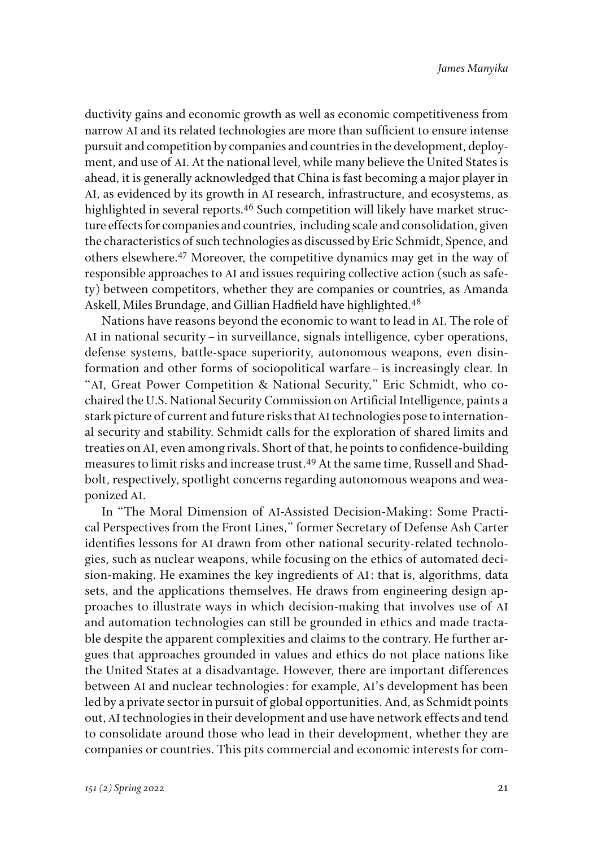ductivity gains and economic growth as well as economic competitiveness from narrow AI and its related technologies are more than sufficient to ensure intense pursuit and competition by companies and countries in the development, deployment, and use of AI. At the national level, while many believe the United States is ahead, it is generally acknowledged that China is fast becoming a major player in AI, as evidenced by its growth in AI research, infrastructure, and ecosystems, as highlighted in several reports.<sup>46</sup> Such competition will likely have market structure effects for companies and countries, including scale and consolidation, given the characteristics of such technologies as discussed by Eric Schmidt, Spence, and others elsewhere.47 Moreover, the competitive dynamics may get in the way of responsible approaches to AI and issues requiring collective action (such as safety) between competitors, whether they are companies or countries, as Amanda Askell, Miles Brundage, and Gillian Hadfield have highlighted.<sup>48</sup>

Nations have reasons beyond the economic to want to lead in AI. The role of AI in national security–in surveillance, signals intelligence, cyber operations, defense systems, battle-space superiority, autonomous weapons, even disinformation and other forms of sociopolitical warfare–is increasingly clear. In "AI, Great Power Competition & National Security," Eric Schmidt, who cochaired the U.S. National Security Commission on Artificial Intelligence, paints a stark picture of current and future risks that AI technologies pose to international security and stability. Schmidt calls for the exploration of shared limits and treaties on AI, even among rivals. Short of that, he points to confidence-building measures to limit risks and increase trust.49 At the same time, Russell and Shadbolt, respectively, spotlight concerns regarding autonomous weapons and weaponized AI.

In "The Moral Dimension of AI-Assisted Decision-Making: Some Practical Perspectives from the Front Lines," former Secretary of Defense Ash Carter identifies lessons for AI drawn from other national security-related technologies, such as nuclear weapons, while focusing on the ethics of automated decision-making. He examines the key ingredients of AI: that is, algorithms, data sets, and the applications themselves. He draws from engineering design approaches to illustrate ways in which decision-making that involves use of AI and automation technologies can still be grounded in ethics and made tractable despite the apparent complexities and claims to the contrary. He further argues that approaches grounded in values and ethics do not place nations like the United States at a disadvantage. However, there are important differences between AI and nuclear technologies: for example, AI's development has been led by a private sector in pursuit of global opportunities. And, as Schmidt points out, AI technologies in their development and use have network effects and tend to consolidate around those who lead in their development, whether they are companies or countries. This pits commercial and economic interests for com-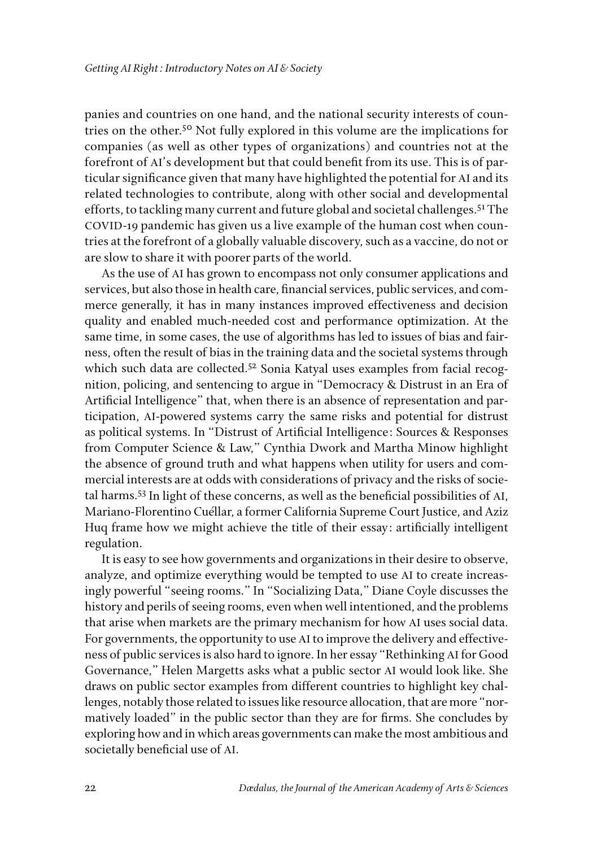panies and countries on one hand, and the national security interests of countries on the other.50 Not fully explored in this volume are the implications for companies (as well as other types of organizations) and countries not at the forefront of AI's development but that could benefit from its use. This is of particular significance given that many have highlighted the potential for AI and its related technologies to contribute, along with other social and developmental efforts, to tackling many current and future global and societal challenges.51 The COVID-19 pandemic has given us a live example of the human cost when countries at the forefront of a globally valuable discovery, such as a vaccine, do not or are slow to share it with poorer parts of the world.

As the use of AI has grown to encompass not only consumer applications and services, but also those in health care, financial services, public services, and commerce generally, it has in many instances improved effectiveness and decision quality and enabled much-needed cost and performance optimization. At the same time, in some cases, the use of algorithms has led to issues of bias and fairness, often the result of bias in the training data and the societal systems through which such data are collected.<sup>52</sup> Sonia Katyal uses examples from facial recognition, policing, and sentencing to argue in "Democracy & Distrust in an Era of Artificial Intelligence" that, when there is an absence of representation and participation, AI-powered systems carry the same risks and potential for distrust as political systems. In "Distrust of Artificial Intelligence: Sources & Responses from Computer Science & Law," Cynthia Dwork and Martha Minow highlight the absence of ground truth and what happens when utility for users and commercial interests are at odds with considerations of privacy and the risks of societal harms.53 In light of these concerns, as well as the beneficial possibilities of AI, Mariano-Florentino Cuéllar, a former California Supreme Court Justice, and Aziz Huq frame how we might achieve the title of their essay: artificially intelligent regulation.

It is easy to see how governments and organizations in their desire to observe, analyze, and optimize everything would be tempted to use AI to create increasingly powerful "seeing rooms." In "Socializing Data," Diane Coyle discusses the history and perils of seeing rooms, even when well intentioned, and the problems that arise when markets are the primary mechanism for how AI uses social data. For governments, the opportunity to use AI to improve the delivery and effectiveness of public services is also hard to ignore. In her essay "Rethinking AI for Good Governance," Helen Margetts asks what a public sector AI would look like. She draws on public sector examples from different countries to highlight key challenges, notably those related to issues like resource allocation, that are more "normatively loaded" in the public sector than they are for firms. She concludes by exploring how and in which areas governments can make the most ambitious and societally beneficial use of AI.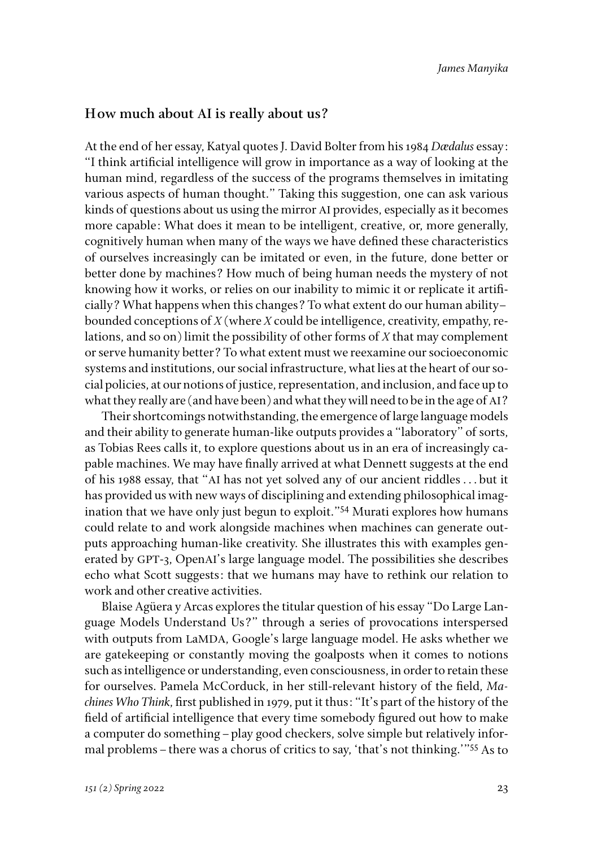#### **How much about AI is really about us?**

At the end of her essay, Katyal quotes J. David Bolter from his 1984 *Dædalus* essay: "I think artificial intelligence will grow in importance as a way of looking at the human mind, regardless of the success of the programs themselves in imitating various aspects of human thought." Taking this suggestion, one can ask various kinds of questions about us using the mirror AI provides, especially as it becomes more capable: What does it mean to be intelligent, creative, or, more generally, cognitively human when many of the ways we have defined these characteristics of ourselves increasingly can be imitated or even, in the future, done better or better done by machines? How much of being human needs the mystery of not knowing how it works, or relies on our inability to mimic it or replicate it artificially? What happens when this changes? To what extent do our human ability– bounded conceptions of *X* (where *X* could be intelligence, creativity, empathy, relations, and so on) limit the possibility of other forms of *X* that may complement or serve humanity better? To what extent must we reexamine our socioeconomic systems and institutions, our social infrastructure, what lies at the heart of our social policies, at our notions of justice, representation, and inclusion, and face up to what they really are (and have been) and what they will need to be in the age of AI?

Their shortcomings notwithstanding, the emergence of large language models and their ability to generate human-like outputs provides a "laboratory" of sorts, as Tobias Rees calls it, to explore questions about us in an era of increasingly capable machines. We may have finally arrived at what Dennett suggests at the end of his 1988 essay, that "AI has not yet solved any of our ancient riddles . . . but it has provided us with new ways of disciplining and extending philosophical imagination that we have only just begun to exploit."54 Murati explores how humans could relate to and work alongside machines when machines can generate outputs approaching human-like creativity. She illustrates this with examples generated by GPT-3, OpenAI's large language model. The possibilities she describes echo what Scott suggests: that we humans may have to rethink our relation to work and other creative activities.

Blaise Agüera y Arcas explores the titular question of his essay "Do Large Language Models Understand Us?" through a series of provocations interspersed with outputs from LaMDA, Google's large language model. He asks whether we are gatekeeping or constantly moving the goalposts when it comes to notions such as intelligence or understanding, even consciousness, in order to retain these for ourselves. Pamela McCorduck, in her still-relevant history of the field, *Machines Who Think*, first published in 1979, put it thus: "It's part of the history of the field of artificial intelligence that every time somebody figured out how to make a computer do something–play good checkers, solve simple but relatively informal problems–there was a chorus of critics to say, 'that's not thinking.'"55 As to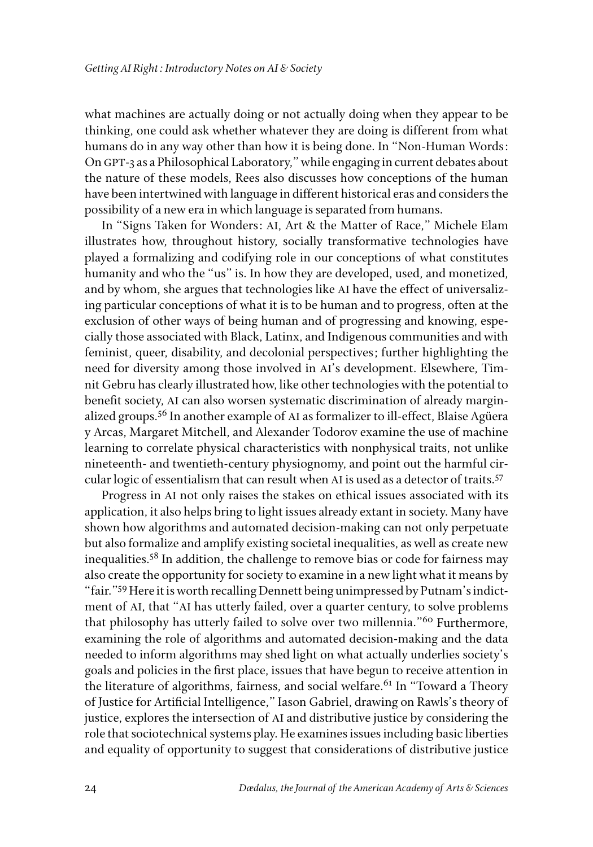what machines are actually doing or not actually doing when they appear to be thinking, one could ask whether whatever they are doing is different from what humans do in any way other than how it is being done. In "Non-Human Words: On GPT-3 as a Philosophical Laboratory," while engaging in current debates about the nature of these models, Rees also discusses how conceptions of the human have been intertwined with language in different historical eras and considers the possibility of a new era in which language is separated from humans.

In "Signs Taken for Wonders: AI, Art & the Matter of Race," Michele Elam illustrates how, throughout history, socially transformative technologies have played a formalizing and codifying role in our conceptions of what constitutes humanity and who the "us" is. In how they are developed, used, and monetized, and by whom, she argues that technologies like AI have the effect of universalizing particular conceptions of what it is to be human and to progress, often at the exclusion of other ways of being human and of progressing and knowing, especially those associated with Black, Latinx, and Indigenous communities and with feminist, queer, disability, and decolonial perspectives; further highlighting the need for diversity among those involved in AI's development. Elsewhere, Timnit Gebru has clearly illustrated how, like other technologies with the potential to benefit society, AI can also worsen systematic discrimination of already marginalized groups.56 In another example of AI as formalizer to ill-effect, Blaise Agüera y Arcas, Margaret Mitchell, and Alexander Todorov examine the use of machine learning to correlate physical characteristics with nonphysical traits, not unlike nineteenth- and twentieth-century physiognomy, and point out the harmful circular logic of essentialism that can result when AI is used as a detector of traits.<sup>57</sup>

Progress in AI not only raises the stakes on ethical issues associated with its application, it also helps bring to light issues already extant in society. Many have shown how algorithms and automated decision-making can not only perpetuate but also formalize and amplify existing societal inequalities, as well as create new inequalities.58 In addition, the challenge to remove bias or code for fairness may also create the opportunity for society to examine in a new light what it means by "fair."59 Here it is worth recalling Dennett being unimpressed by Putnam's indictment of AI, that "AI has utterly failed, over a quarter century, to solve problems that philosophy has utterly failed to solve over two millennia."<sup>60</sup> Furthermore, examining the role of algorithms and automated decision-making and the data needed to inform algorithms may shed light on what actually underlies society's goals and policies in the first place, issues that have begun to receive attention in the literature of algorithms, fairness, and social welfare.<sup>61</sup> In "Toward a Theory of Justice for Artificial Intelligence," Iason Gabriel, drawing on Rawls's theory of justice, explores the intersection of AI and distributive justice by considering the role that sociotechnical systems play. He examines issues including basic liberties and equality of opportunity to suggest that considerations of distributive justice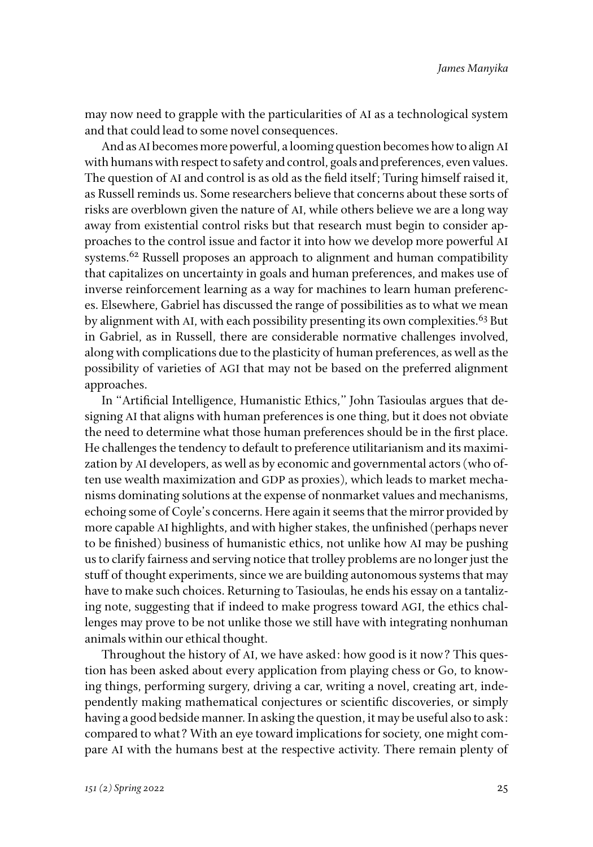may now need to grapple with the particularities of AI as a technological system and that could lead to some novel consequences.

And as AI becomes more powerful, a looming question becomes how to align AI with humans with respect to safety and control, goals and preferences, even values. The question of AI and control is as old as the field itself; Turing himself raised it, as Russell reminds us. Some researchers believe that concerns about these sorts of risks are overblown given the nature of AI, while others believe we are a long way away from existential control risks but that research must begin to consider approaches to the control issue and factor it into how we develop more powerful AI systems.<sup>62</sup> Russell proposes an approach to alignment and human compatibility that capitalizes on uncertainty in goals and human preferences, and makes use of inverse reinforcement learning as a way for machines to learn human preferences. Elsewhere, Gabriel has discussed the range of possibilities as to what we mean by alignment with AI, with each possibility presenting its own complexities.<sup>63</sup> But in Gabriel, as in Russell, there are considerable normative challenges involved, along with complications due to the plasticity of human preferences, as well as the possibility of varieties of AGI that may not be based on the preferred alignment approaches.

In "Artificial Intelligence, Humanistic Ethics," John Tasioulas argues that designing AI that aligns with human preferences is one thing, but it does not obviate the need to determine what those human preferences should be in the first place. He challenges the tendency to default to preference utilitarianism and its maximization by AI developers, as well as by economic and governmental actors (who often use wealth maximization and GDP as proxies), which leads to market mechanisms dominating solutions at the expense of nonmarket values and mechanisms, echoing some of Coyle's concerns. Here again it seems that the mirror provided by more capable AI highlights, and with higher stakes, the unfinished (perhaps never to be finished) business of humanistic ethics, not unlike how AI may be pushing us to clarify fairness and serving notice that trolley problems are no longer just the stuff of thought experiments, since we are building autonomous systems that may have to make such choices. Returning to Tasioulas, he ends his essay on a tantalizing note, suggesting that if indeed to make progress toward AGI, the ethics challenges may prove to be not unlike those we still have with integrating nonhuman animals within our ethical thought.

Throughout the history of AI, we have asked: how good is it now? This question has been asked about every application from playing chess or Go, to knowing things, performing surgery, driving a car, writing a novel, creating art, independently making mathematical conjectures or scientific discoveries, or simply having a good bedside manner. In asking the question, it may be useful also to ask: compared to what? With an eye toward implications for society, one might compare AI with the humans best at the respective activity. There remain plenty of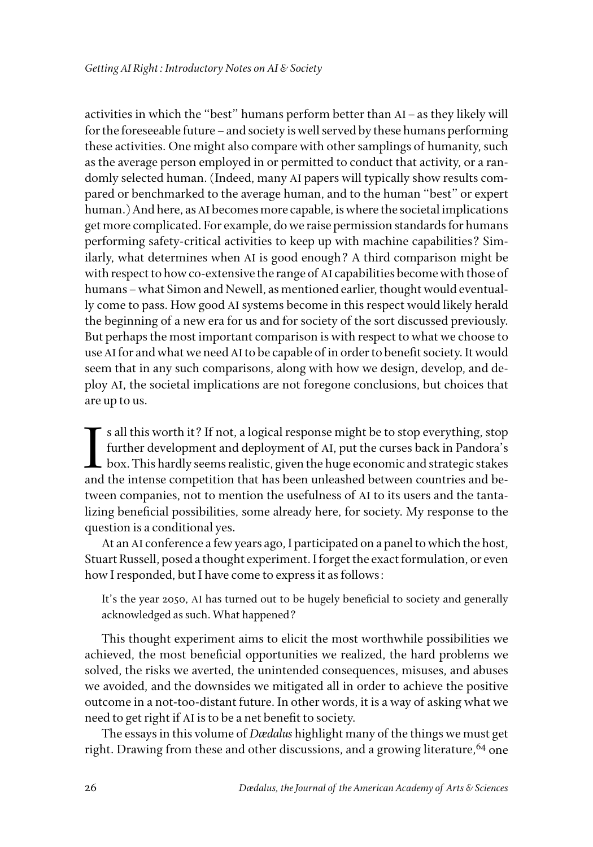activities in which the "best" humans perform better than AI–as they likely will for the foreseeable future–and society is well served by these humans performing these activities. One might also compare with other samplings of humanity, such as the average person employed in or permitted to conduct that activity, or a randomly selected human. (Indeed, many AI papers will typically show results compared or benchmarked to the average human, and to the human "best" or expert human.) And here, as AI becomes more capable, is where the societal implications get more complicated. For example, do we raise permission standards for humans performing safety-critical activities to keep up with machine capabilities? Similarly, what determines when AI is good enough? A third comparison might be with respect to how co-extensive the range of AI capabilities become with those of humans–what Simon and Newell, as mentioned earlier, thought would eventually come to pass. How good AI systems become in this respect would likely herald the beginning of a new era for us and for society of the sort discussed previously. But perhaps the most important comparison is with respect to what we choose to use AI for and what we need AI to be capable of in order to benefit society. It would seem that in any such comparisons, along with how we design, develop, and deploy AI, the societal implications are not foregone conclusions, but choices that are up to us.

 $\blacksquare$ s all this worth it? If not, a logical response might be to stop everything, stop further development and deployment of AI, put the curses back in Pandora's box. This hardly seems realistic, given the huge economic s all this worth it? If not, a logical response might be to stop everything, stop further development and deployment of AI, put the curses back in Pandora's  $\mathsf L$  box. This hardly seems realistic, given the huge economic and strategic stakes tween companies, not to mention the usefulness of AI to its users and the tantalizing beneficial possibilities, some already here, for society. My response to the question is a conditional yes.

At an AI conference a few years ago, I participated on a panel to which the host, Stuart Russell, posed a thought experiment. I forget the exact formulation, or even how I responded, but I have come to express it as follows:

It's the year 2050, AI has turned out to be hugely beneficial to society and generally acknowledged as such. What happened?

This thought experiment aims to elicit the most worthwhile possibilities we achieved, the most beneficial opportunities we realized, the hard problems we solved, the risks we averted, the unintended consequences, misuses, and abuses we avoided, and the downsides we mitigated all in order to achieve the positive outcome in a not-too-distant future. In other words, it is a way of asking what we need to get right if AI is to be a net benefit to society.

The essays in this volume of *Dædalus* highlight many of the things we must get right. Drawing from these and other discussions, and a growing literature,  $64$  one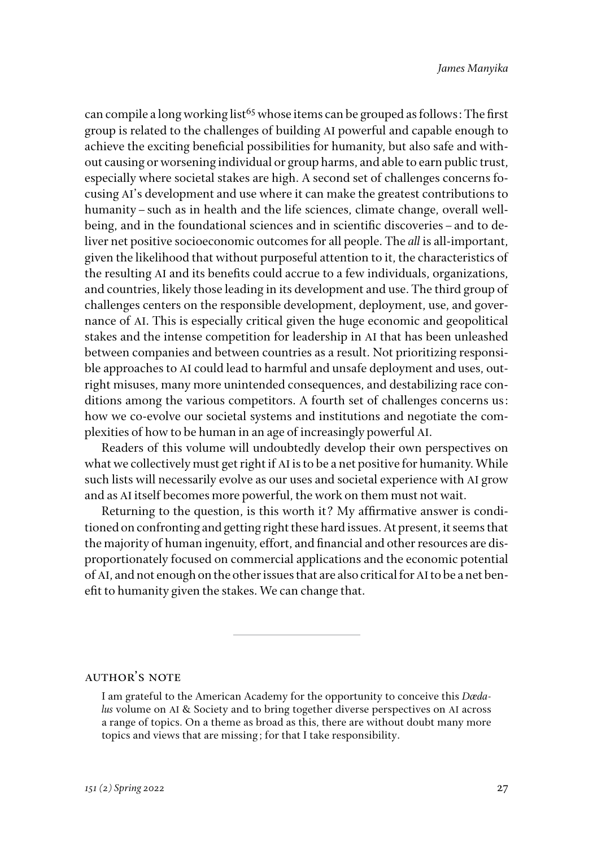can compile a long working list<sup>65</sup> whose items can be grouped as follows: The first group is related to the challenges of building AI powerful and capable enough to achieve the exciting beneficial possibilities for humanity, but also safe and without causing or worsening individual or group harms, and able to earn public trust, especially where societal stakes are high. A second set of challenges concerns focusing AI's development and use where it can make the greatest contributions to humanity–such as in health and the life sciences, climate change, overall wellbeing, and in the foundational sciences and in scientific discoveries–and to deliver net positive socioeconomic outcomes for all people. The *all* is all-important, given the likelihood that without purposeful attention to it, the characteristics of the resulting AI and its benefits could accrue to a few individuals, organizations, and countries, likely those leading in its development and use. The third group of challenges centers on the responsible development, deployment, use, and governance of AI. This is especially critical given the huge economic and geopolitical stakes and the intense competition for leadership in AI that has been unleashed between companies and between countries as a result. Not prioritizing responsible approaches to AI could lead to harmful and unsafe deployment and uses, outright misuses, many more unintended consequences, and destabilizing race conditions among the various competitors. A fourth set of challenges concerns us: how we co-evolve our societal systems and institutions and negotiate the complexities of how to be human in an age of increasingly powerful AI.

Readers of this volume will undoubtedly develop their own perspectives on what we collectively must get right if AI is to be a net positive for humanity. While such lists will necessarily evolve as our uses and societal experience with AI grow and as AI itself becomes more powerful, the work on them must not wait.

Returning to the question, is this worth it? My affirmative answer is conditioned on confronting and getting right these hard issues. At present, it seems that the majority of human ingenuity, effort, and financial and other resources are disproportionately focused on commercial applications and the economic potential of AI, and not enough on the other issues that are also critical for AI to be a net benefit to humanity given the stakes. We can change that.

#### **AUTHOR'S NOTE**

I am grateful to the American Academy for the opportunity to conceive this *Dædalus* volume on AI & Society and to bring together diverse perspectives on AI across a range of topics. On a theme as broad as this, there are without doubt many more topics and views that are missing; for that I take responsibility.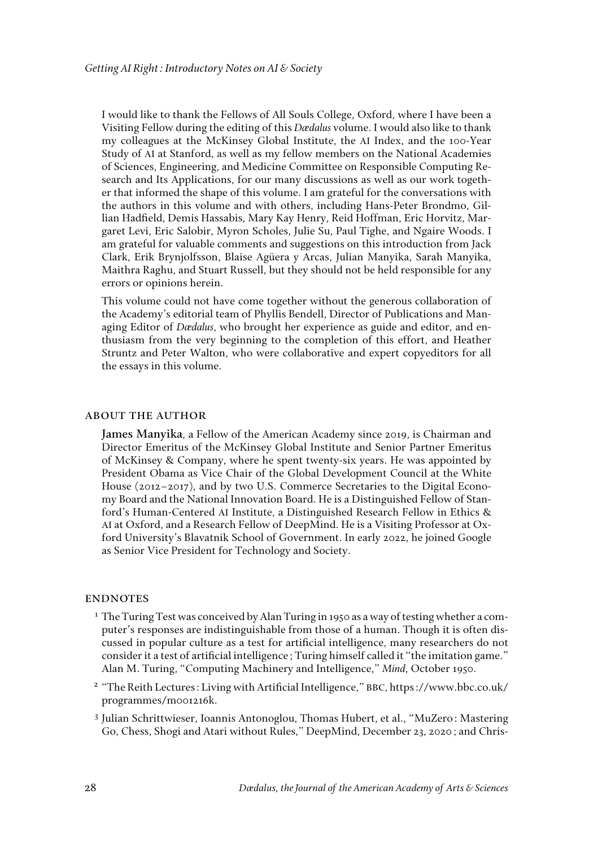I would like to thank the Fellows of All Souls College, Oxford, where I have been a Visiting Fellow during the editing of this *Dædalus* volume. I would also like to thank my colleagues at the McKinsey Global Institute, the AI Index, and the 100-Year Study of AI at Stanford, as well as my fellow members on the National Academies of Sciences, Engineering, and Medicine Committee on Responsible Computing Research and Its Applications, for our many discussions as well as our work together that informed the shape of this volume. I am grateful for the conversations with the authors in this volume and with others, including Hans-Peter Brondmo, Gillian Hadfield, Demis Hassabis, Mary Kay Henry, Reid Hoffman, Eric Horvitz, Margaret Levi, Eric Salobir, Myron Scholes, Julie Su, Paul Tighe, and Ngaire Woods. I am grateful for valuable comments and suggestions on this introduction from Jack Clark, Erik Brynjolfsson, Blaise Agüera y Arcas, Julian Manyika, Sarah Manyika, Maithra Raghu, and Stuart Russell, but they should not be held responsible for any errors or opinions herein.

This volume could not have come together without the generous collaboration of the Academy's editorial team of Phyllis Bendell, Director of Publications and Managing Editor of *Dædalus*, who brought her experience as guide and editor, and enthusiasm from the very beginning to the completion of this effort, and Heather Struntz and Peter Walton, who were collaborative and expert copyeditors for all the essays in this volume.

#### about the author

**James Manyika**, a Fellow of the American Academy since 2019, is Chairman and Director Emeritus of the McKinsey Global Institute and Senior Partner Emeritus of McKinsey & Company, where he spent twenty-six years. He was appointed by President Obama as Vice Chair of the Global Development Council at the White House (2012–2017), and by two U.S. Commerce Secretaries to the Digital Economy Board and the National Innovation Board. He is a Distinguished Fellow of Stanford's Human-Centered AI Institute, a Distinguished Research Fellow in Ethics & AI at Oxford, and a Research Fellow of DeepMind. He is a Visiting Professor at Oxford University's Blavatnik School of Government. In early 2022, he joined Google as Senior Vice President for Technology and Society.

#### **ENDNOTES**

- <sup>1</sup> The Turing Test was conceived by Alan Turing in 1950 as a way of testing whether a computer's responses are indistinguishable from those of a human. Though it is often discussed in popular culture as a test for artificial intelligence, many researchers do not consider it a test of artificial intelligence; Turing himself called it "the imitation game." Alan M. Turing, "Computing Machinery and Intelligence," *Mind*, October 1950.
- <sup>2</sup> "The Reith Lectures: Living with Artificial Intelligence," BBC, https://www.bbc.co.uk/ programmes/m001216k.
- <sup>3</sup> Julian Schrittwieser, Ioannis Antonoglou, Thomas Hubert, et al., "MuZero: Mastering Go, Chess, Shogi and Atari without Rules," DeepMind, December 23, 2020; and Chris-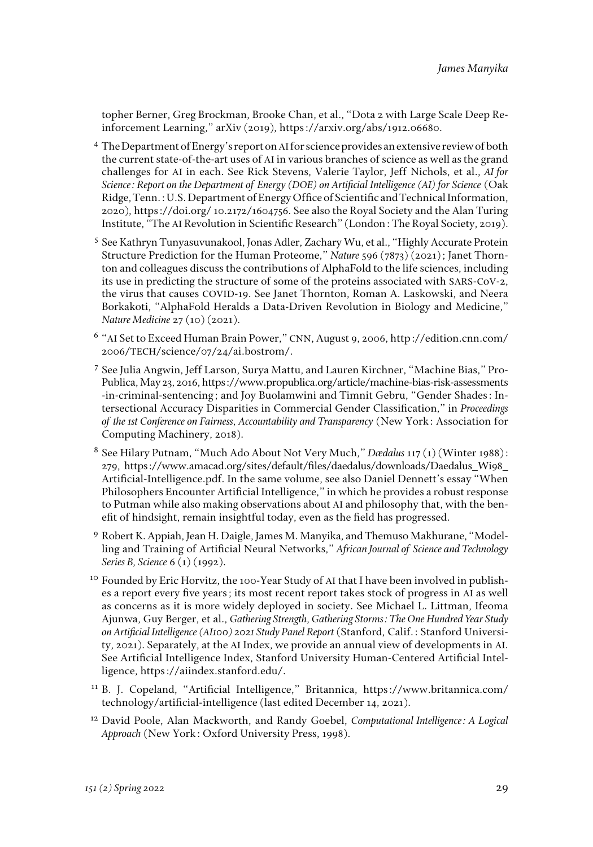topher Berner, Greg Brockman, Brooke Chan, et al., "Dota 2 with Large Scale Deep Reinforcement Learning," arXiv (2019), https://arxiv.org/abs/1912.06680.

- <sup>4</sup> The Department of Energy's report on AI for science provides an extensive review of both the current state-of-the-art uses of AI in various branches of science as well as the grand challenges for AI in each. See Rick Stevens, Valerie Taylor, Jeff Nichols, et al., *AI for Science: Report on the Department of Energy (DOE) on Artificial Intelligence (AI) for Science* (Oak Ridge, Tenn.: U.S. Department of Energy Office of Scientific and Technical Information, 2020), https://doi.org/ 10.2172/1604756. See also the Royal Society and the Alan Turing Institute, "The AI Revolution in Scientific Research" (London: The Royal Society, 2019).
- <sup>5</sup> See Kathryn Tunyasuvunakool, Jonas Adler, Zachary Wu, et al., "Highly Accurate Protein Structure Prediction for the Human Proteome," *Nature* 596 (7873) (2021); Janet Thornton and colleagues discuss the contributions of AlphaFold to the life sciences, including its use in predicting the structure of some of the proteins associated with SARS-CoV-2, the virus that causes COVID-19. See Janet Thornton, Roman A. Laskowski, and Neera Borkakoti, "AlphaFold Heralds a Data-Driven Revolution in Biology and Medicine," *Nature Medicine* 27 (10) (2021).
- <sup>6</sup> "AI Set to Exceed Human Brain Power," CNN, August 9, 2006, [http://edition.cnn.com/](http://edition.cnn.com/2006/TECH/science/07/24/ai.bostrom/) 2006/TECH[/science/07/24/ai.bostrom/](http://edition.cnn.com/2006/TECH/science/07/24/ai.bostrom/).
- <sup>7</sup> See Julia Angwin, Jeff Larson, Surya Mattu, and Lauren Kirchner, "Machine Bias," Pro-Publica, May 23, 2016, [https://www.propublica.org/article/machine-bias-risk-assessments](https://www.propublica.org/article/machine-bias-risk-assessments-in-criminal-sentencing) [-in-criminal-sentencing](https://www.propublica.org/article/machine-bias-risk-assessments-in-criminal-sentencing); and Joy Buolamwini and Timnit Gebru, "Gender Shades: Intersectional Accuracy Disparities in Commercial Gender Classification," in *Proceedings of the 1st Conference on Fairness, Accountability and Transparency* (New York: Association for Computing Machinery, 2018).
- <sup>8</sup> See Hilary Putnam, "Much Ado About Not Very Much," *Dædalus* 117 (1) (Winter 1988): 279, https://www.amacad.org/sites/default/files/daedalus/downloads/Daedalus\_Wi98\_ Artificial-Intelligence.pdf. In the same volume, see also Daniel Dennett's essay "When Philosophers Encounter Artificial Intelligence," in which he provides a robust response to Putman while also making observations about AI and philosophy that, with the benefit of hindsight, remain insightful today, even as the field has progressed.
- <sup>9</sup> Robert K. Appiah, Jean H. Daigle, James M. Manyika, and Themuso Makhurane, "Modelling and Training of Artificial Neural Networks," *African Journal of Science and Technology Series B, Science* 6 (1) (1992).
- <sup>10</sup> Founded by Eric Horvitz, the 100-Year Study of AI that I have been involved in publishes a report every five years; its most recent report takes stock of progress in AI as well as concerns as it is more widely deployed in society. See Michael L. Littman, Ifeoma Ajunwa, Guy Berger, et al., *Gathering Strength, Gathering Storms: The One Hundred Year Study on Artificial Intelligence (AI100) 2021 Study Panel Report* (Stanford, Calif.: Stanford University, 2021). Separately, at the AI Index, we provide an annual view of developments in AI. See Artificial Intelligence Index, Stanford University Human-Centered Artificial Intelligence, https://aiindex.stanford.edu/.
- <sup>11</sup> B. J. Copeland, "Artificial Intelligence," Britannica, [https://www.britannica.com/](https://www.britannica.com/technology/artificial-intelligence) [technology/artificial-intelligence](https://www.britannica.com/technology/artificial-intelligence) (last edited December 14, 2021).
- <sup>12</sup> David Poole, Alan Mackworth, and Randy Goebel, *Computational Intelligence: A Logical Approach* (New York: Oxford University Press, 1998).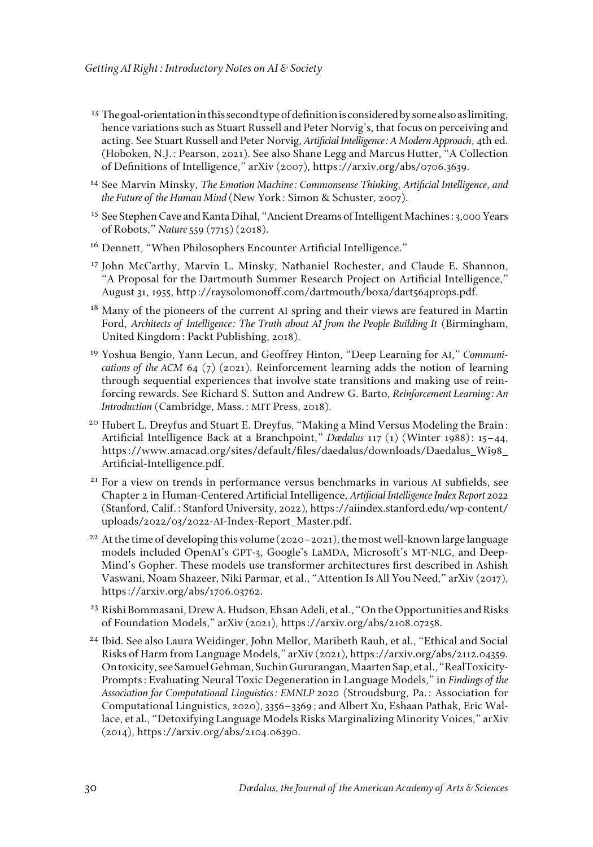- $13$  The goal-orientation in this second type of definition is considered by some also as limiting, hence variations such as Stuart Russell and Peter Norvig's, that focus on perceiving and acting. See Stuart Russell and Peter Norvig, *Artificial Intelligence: A Modern Approach*, 4th ed. (Hoboken, N.J.: Pearson, 2021). See also Shane Legg and Marcus Hutter, "A Collection of Definitions of Intelligence," arXiv (2007), https://arxiv.org/abs/0706.3639.
- <sup>14</sup> See Marvin Minsky, *The Emotion Machine: Commonsense Thinking, Artificial Intelligence, and the Future of the Human Mind* (New York: Simon & Schuster, 2007).
- <sup>15</sup> See Stephen Cave and Kanta Dihal, "Ancient Dreams of Intelligent Machines: 3,000 Years of Robots," *Nature* 559 (7715) (2018).
- <sup>16</sup> Dennett, "When Philosophers Encounter Artificial Intelligence."
- <sup>17</sup> John McCarthy, Marvin L. Minsky, Nathaniel Rochester, and Claude E. Shannon, "A Proposal for the Dartmouth Summer Research Project on Artificial Intelligence," August 31, 1955, http://raysolomonoff.com/dartmouth/boxa/dart564props.pdf.
- <sup>18</sup> Many of the pioneers of the current AI spring and their views are featured in Martin Ford, *Architects of Intelligence: The Truth about AI from the People Building It* (Birmingham, United Kingdom: Packt Publishing, 2018).
- <sup>19</sup> Yoshua Bengio, Yann Lecun, and Geoffrey Hinton, "Deep Learning for AI," *Communications of the ACM* 64 (7) (2021). Reinforcement learning adds the notion of learning through sequential experiences that involve state transitions and making use of reinforcing rewards. See Richard S. Sutton and Andrew G. Barto, *Reinforcement Learning: An Introduction* (Cambridge, Mass.: MIT Press, 2018).
- $20$  Hubert L. Dreyfus and Stuart E. Dreyfus, "Making a Mind Versus Modeling the Brain: Artificial Intelligence Back at a Branchpoint," *Dædalus* 117 (1) (Winter 1988): 15–44, https://www.amacad.org/sites/default/files/daedalus/downloads/Daedalus\_Wi98\_ Artificial-Intelligence.pdf.
- <sup>21</sup> For a view on trends in performance versus benchmarks in various AI subfields, see Chapter 2 in Human-Centered Artificial Intelligence, *Artificial Intelligence Index Report 2022* (Stanford, Calif.: Stanford University, 2022), https://aiindex.stanford.edu/wp-content/ uploads/2022/03/2022-AI-Index-Report\_Master.pdf.
- <sup>22</sup> At the time of developing this volume (2020–2021), the most well-known large language models included OpenAI's GPT-3, Google's LaMDA, Microsoft's MT-NLG, and Deep-Mind's Gopher. These models use transformer architectures first described in Ashish Vaswani, Noam Shazeer, Niki Parmar, et al., "Attention Is All You Need," arXiv (2017), https://arxiv.org/abs/1706.03762.
- <sup>23</sup> Rishi Bommasani, Drew A. Hudson, Ehsan Adeli, et al., "On the Opportunities and Risks of Foundation Models," arXiv (2021), https://arxiv.org/abs/2108.07258.
- <sup>24</sup> Ibid. See also Laura Weidinger, John Mellor, Maribeth Rauh, et al., "Ethical and Social Risks of Harm from Language Models," arXiv (2021),<https://arxiv.org/abs/2112.04359>. On toxicity, see Samuel Gehman, Suchin Gururangan, Maarten Sap, et al., "RealToxicity-Prompts: Evaluating Neural Toxic Degeneration in Language Models," in *Findings of the Association for Computational Linguistics: EMNLP 2020* (Stroudsburg, Pa.: Association for Computational Linguistics, 2020), 3356–3369; and Albert Xu, Eshaan Pathak, Eric Wallace, et al., "Detoxifying Language Models Risks Marginalizing Minority Voices," arXiv (2014), https://arxiv.org/abs/2104.06390.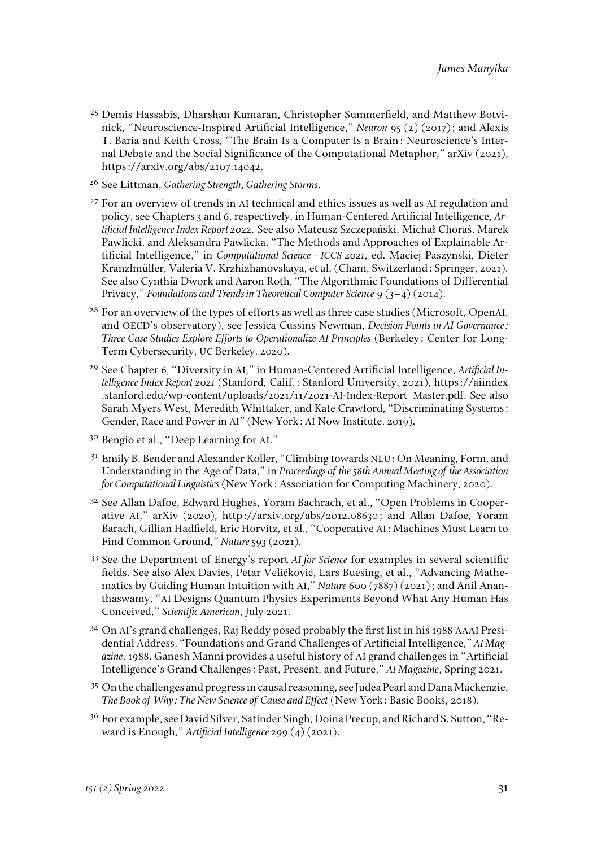- <sup>25</sup> Demis Hassabis, Dharshan Kumaran, Christopher Summerfield, and Matthew Botvinick, "Neuroscience-Inspired Artificial Intelligence," *Neuron* 95 (2) (2017); and Alexis T. Baria and Keith Cross, "The Brain Is a Computer Is a Brain: Neuroscience's Internal Debate and the Social Significance of the Computational Metaphor," arXiv (2021), https://arxiv.org/abs/2107.14042.
- <sup>26</sup> See Littman, *Gathering Strength, Gathering Storms.*
- <sup>27</sup> For an overview of trends in AI technical and ethics issues as well as AI regulation and policy, see Chapters 3 and 6, respectively, in Human-Centered Artificial Intelligence, *Artificial Intelligence Index Report 2022.* See also Mateusz Szczepański, Michał Choraś, Marek Pawlicki, and Aleksandra Pawlicka, "The Methods and Approaches of Explainable Artificial Intelligence," in *Computational Science–ICCS 2021*, ed. Maciej Paszynski, Dieter Kranzlmüller, Valeria V. Krzhizhanovskaya, et al. (Cham, Switzerland: Springer, 2021). See also Cynthia Dwork and Aaron Roth, "The Algorithmic Foundations of Differential Privacy," *Foundations and Trends in Theoretical Computer Science* 9 (3–4) (2014).
- <sup>28</sup> For an overview of the types of efforts as well as three case studies (Microsoft, OpenAI, and OECD's observatory), see Jessica Cussins Newman, *Decision Points in AI Governance: Three Case Studies Explore Efforts to Operationalize AI Principles* (Berkeley: Center for Long-Term Cybersecurity, UC Berkeley, 2020).
- <sup>29</sup> See Chapter 6, "Diversity in AI," in Human-Centered Artificial Intelligence, *Artificial Intelligence Index Report 2021* (Stanford, Calif.: Stanford University, 2021), https://aiindex .stanford.edu/wp-content/uploads/2021/11/2021-AI-Index-Report\_Master.pdf. See also Sarah Myers West, Meredith Whittaker, and Kate Crawford, "Discriminating Systems: Gender, Race and Power in AI" (New York: AI Now Institute, 2019).
- <sup>30</sup> Bengio et al., "Deep Learning for AI."
- <sup>31</sup> Emily B. Bender and Alexander Koller, "Climbing towards NLU: On Meaning, Form, and Understanding in the Age of Data," in *Proceedings of the 58th Annual Meeting of the Association for Computational Linguistics* (New York: Association for Computing Machinery, 2020).
- <sup>32</sup> See Allan Dafoe, Edward Hughes, Yoram Bachrach, et al., "Open Problems in Cooperative AI," arXiv (2020), [http://arxiv.org/abs/2012.08630](http://www.google.com/url?q=http%3A%2F%2Farxiv.org%2Fabs%2F2012.08630&sa=D&sntz=1&usg=AFQjCNG_UWqXbmw0Ukt_b2pUOEqnZXGcSw); and Allan Dafoe, Yoram Barach, Gillian Hadfield, Eric Horvitz, et al., "Cooperative AI: Machines Must Learn to Find Common Ground," *Nature* 593 (2021).
- <sup>33</sup> See the Department of Energy's report *AI for Science* for examples in several scientific fields. See also Alex Davies, Petar Veličković, Lars Buesing, et al., "Advancing Mathematics by Guiding Human Intuition with AI," *Nature* 600 (7887) (2021); and Anil Ananthaswamy, "AI Designs Quantum Physics Experiments Beyond What Any Human Has Conceived," *Scientific American*, July 2021.
- <sup>34</sup> On AI's grand challenges, Raj Reddy posed probably the first list in his 1988 AAAI Presidential Address, "Foundations and Grand Challenges of Artificial Intelligence," *AI Magazine,* 1988. Ganesh Manni provides a useful history of AI grand challenges in "Artificial Intelligence's Grand Challenges: Past, Present, and Future," *AI Magazine*, Spring 2021.
- <sup>35</sup> On the challenges and progress in causal reasoning, see Judea Pearl and Dana Mackenzie, *The Book of Why: The New Science of Cause and Effect* (New York: Basic Books, 2018).
- <sup>36</sup> For example, see David Silver, Satinder Singh, Doina Precup, and Richard S. Sutton, "Reward is Enough," *Artificial Intelligence* 299 (4) (2021).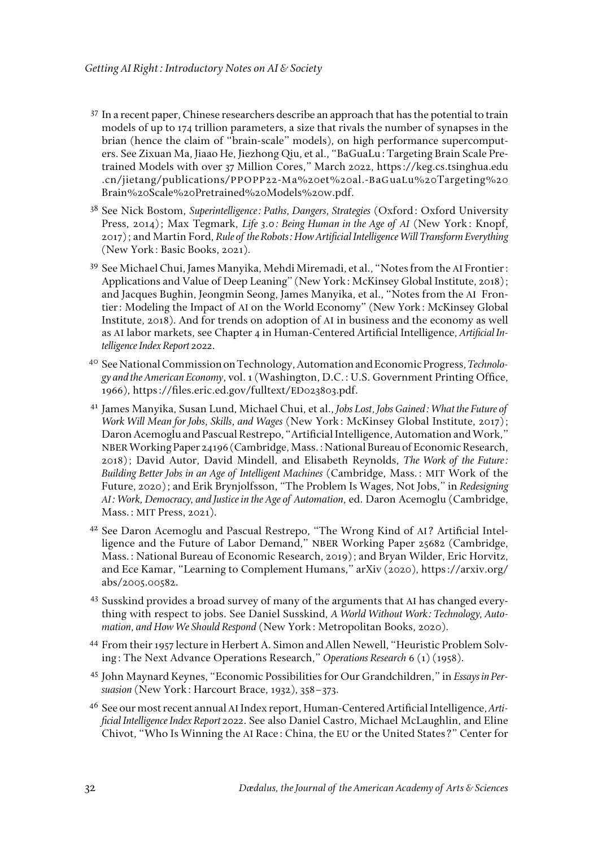- $37$  In a recent paper, Chinese researchers describe an approach that has the potential to train models of up to 174 trillion parameters, a size that rivals the number of synapses in the brian (hence the claim of "brain-scale" models), on high performance supercomputers. See Zixuan Ma, Jiaao He, Jiezhong Qiu, et al., "BaGuaLu: Targeting Brain Scale Pretrained Models with over 37 Million Cores," March 2022, https://keg.cs.tsinghua.edu .cn/jietang/publications/PPOPP22-Ma%20et%20al.-BaGuaLu%20Targeting%20 Brain%20Scale%20Pretrained%20Models%20w.pdf.
- <sup>38</sup> See Nick Bostom, *Superintelligence: Paths, Dangers, Strategies* (Oxford: Oxford University Press, 2014); Max Tegmark, *Life 3.0: Being Human in the Age of AI* (New York: Knopf, 2017); and Martin Ford, *Rule of the Robots: How Artificial Intelligence Will Transform Everything* (New York: Basic Books, 2021).
- <sup>39</sup> See Michael Chui, James Manyika, Mehdi Miremadi, et al., "Notes from the AI Frontier: Applications and Value of Deep Leaning" (New York: McKinsey Global Institute, 2018); and Jacques Bughin, Jeongmin Seong, James Manyika, et al., "Notes from the AI Frontier: Modeling the Impact of AI on the World Economy" (New York: McKinsey Global Institute, 2018). And for trends on adoption of AI in business and the economy as well as AI labor markets, see Chapter 4 in Human-Centered Artificial Intelligence, *Artificial Intelligence Index Report 2022*.
- <sup>40</sup> See National Commission on Technology, Automation and Economic Progress, *Technology and the American Economy*, vol. 1 (Washington, D.C.: U.S. Government Printing Office, 1966), https://files.eric.ed.gov/fulltext/ED023803.pdf.
- <sup>41</sup> James Manyika, Susan Lund, Michael Chui, et al., *Jobs Lost, Jobs Gained: What the Future of Work Will Mean for Jobs, Skills, and Wages* (New York: McKinsey Global Institute, 2017); Daron Acemoglu and Pascual Restrepo, "Artificial Intelligence, Automation and Work," NBER Working Paper 24196 (Cambridge, Mass.: National Bureau of Economic Research, 2018); David Autor, David Mindell, and Elisabeth Reynolds, *The Work of the Future: Building Better Jobs in an Age of Intelligent Machines* (Cambridge, Mass.: MIT Work of the Future, 2020); and Erik Brynjolfsson, "The Problem Is Wages, Not Jobs," in *Redesigning AI: Work, Democracy, and Justice in the Age of Automation*, ed. Daron Acemoglu (Cambridge, Mass.: MIT Press, 2021).
- <sup>42</sup> See Daron Acemoglu and Pascual Restrepo, "The Wrong Kind of AI? Artificial Intelligence and the Future of Labor Demand," NBER Working Paper 25682 (Cambridge, Mass.: National Bureau of Economic Research, 2019); and Bryan Wilder, Eric Horvitz, and Ece Kamar, "Learning to Complement Humans," arXiv (2020), https://arxiv.org/ abs/2005.00582.
- <sup>43</sup> Susskind provides a broad survey of many of the arguments that AI has changed everything with respect to jobs. See Daniel Susskind, *A World Without Work: Technology, Automation, and How We Should Respond* (New York: Metropolitan Books, 2020).
- <sup>44</sup> From their 1957 lecture in Herbert A. Simon and Allen Newell, "Heuristic Problem Solving: The Next Advance Operations Research," *Operations Research* 6 (1) (1958).
- <sup>45</sup> John Maynard Keynes, "Economic Possibilities for Our Grandchildren," in *Essays in Persuasion* (New York: Harcourt Brace, 1932), 358–373.
- <sup>46</sup> See our most recent annual AI Index report, Human-Centered Artificial Intelligence, *Artificial Intelligence Index Report 2022*. See also Daniel Castro, Michael McLaughlin, and Eline Chivot, "Who Is Winning the AI Race: China, the EU or the United States?" Center for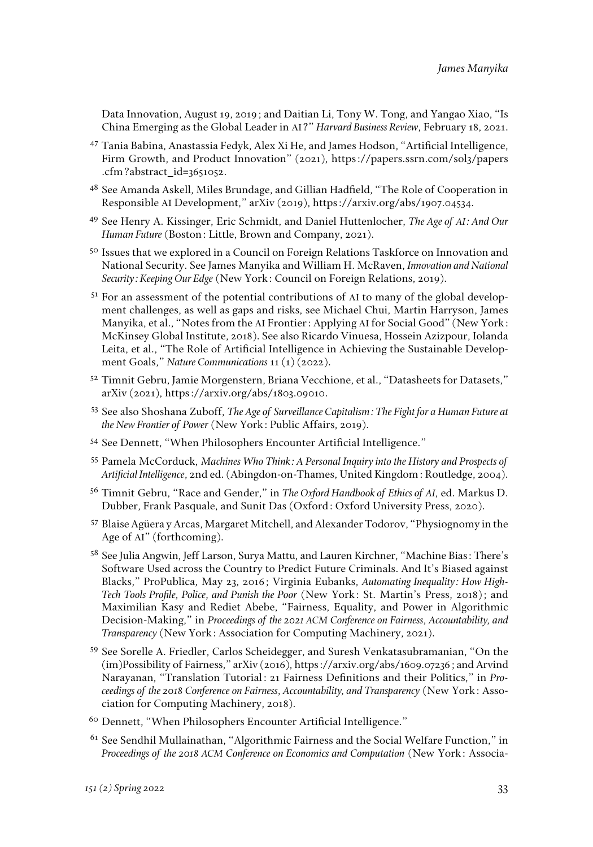Data Innovation, August 19, 2019; and Daitian Li, Tony W. Tong, and Yangao Xiao, "Is China Emerging as the Global Leader in AI?" *Harvard Business Review*, February 18, 2021.

- <sup>47</sup> Tania Babina, Anastassia Fedyk, Alex Xi He, and James Hodson, "Artificial Intelligence, Firm Growth, and Product Innovation" (2021), https://papers.ssrn.com/sol3/papers .cfm?abstract\_id=3651052.
- <sup>48</sup> See Amanda Askell, Miles Brundage, and Gillian Hadfield, "The Role of Cooperation in Responsible AI Development," arXiv (2019), https://arxiv.org/abs/1907.04534.
- <sup>49</sup> See Henry A. Kissinger, Eric Schmidt, and Daniel Huttenlocher, *The Age of AI: And Our Human Future* (Boston: Little, Brown and Company, 2021).
- <sup>50</sup> Issues that we explored in a Council on Foreign Relations Taskforce on Innovation and National Security. See James Manyika and William H. McRaven, *Innovation and National Security: Keeping Our Edge* (New York: Council on Foreign Relations, 2019).
- <sup>51</sup> For an assessment of the potential contributions of AI to many of the global development challenges, as well as gaps and risks, see Michael Chui, Martin Harryson, James Manyika, et al., "Notes from the AI Frontier: Applying AI for Social Good" (New York: McKinsey Global Institute, 2018). See also Ricardo Vinuesa, Hossein Azizpour, Iolanda Leita, et al., "The Role of Artificial Intelligence in Achieving the Sustainable Development Goals," *Nature Communications* 11 (1) (2022).
- <sup>52</sup> Timnit Gebru, Jamie Morgenstern, Briana Vecchione, et al., "Datasheets for Datasets," arXiv (2021), https://arxiv.org/abs/1803.09010.
- <sup>53</sup> See also Shoshana Zuboff, *The Age of Surveillance Capitalism: The Fight for a Human Future at the New Frontier of Power* (New York: Public Affairs, 2019).
- <sup>54</sup> See Dennett, "When Philosophers Encounter Artificial Intelligence."
- <sup>55</sup> Pamela McCorduck, *Machines Who Think: A Personal Inquiry into the History and Prospects of Artificial Intelligence*, 2nd ed. (Abingdon-on-Thames, United Kingdom: Routledge, 2004).
- <sup>56</sup> Timnit Gebru, "Race and Gender," in *The Oxford Handbook of Ethics of AI*, ed. Markus D. Dubber, Frank Pasquale, and Sunit Das (Oxford: Oxford University Press, 2020).
- <sup>57</sup> Blaise Agüera y Arcas, Margaret Mitchell, and Alexander Todorov, "Physiognomy in the Age of AI" (forthcoming).
- <sup>58</sup> See Julia Angwin, Jeff Larson, Surya Mattu, and Lauren Kirchner, "Machine Bias: There's Software Used across the Country to Predict Future Criminals. And It's Biased against Blacks," ProPublica, May 23, 2016; Virginia Eubanks, *Automating Inequality: How High-Tech Tools Profile, Police, and Punish the Poor* (New York: St. Martin's Press, 2018); and Maximilian Kasy and Rediet Abebe, "Fairness, Equality, and Power in Algorithmic Decision-Making," in *Proceedings of the 2021 ACM Conference on Fairness, Accountability, and Transparency* (New York: Association for Computing Machinery, 2021).
- <sup>59</sup> See Sorelle A. Friedler, Carlos Scheidegger, and Suresh Venkatasubramanian, "On the (im)Possibility of Fairness," arXiv (2016), https://arxiv.org/abs/1609.07236; and Arvind Narayanan, "Translation Tutorial: 21 Fairness Definitions and their Politics," in *Proceedings of the 2018 Conference on Fairness, Accountability, and Transparency* (New York: Association for Computing Machinery, 2018).
- <sup>60</sup> Dennett, "When Philosophers Encounter Artificial Intelligence."
- <sup>61</sup> See Sendhil Mullainathan, "Algorithmic Fairness and the Social Welfare Function," in *Proceedings of the 2018 ACM Conference on Economics and Computation* (New York: Associa-